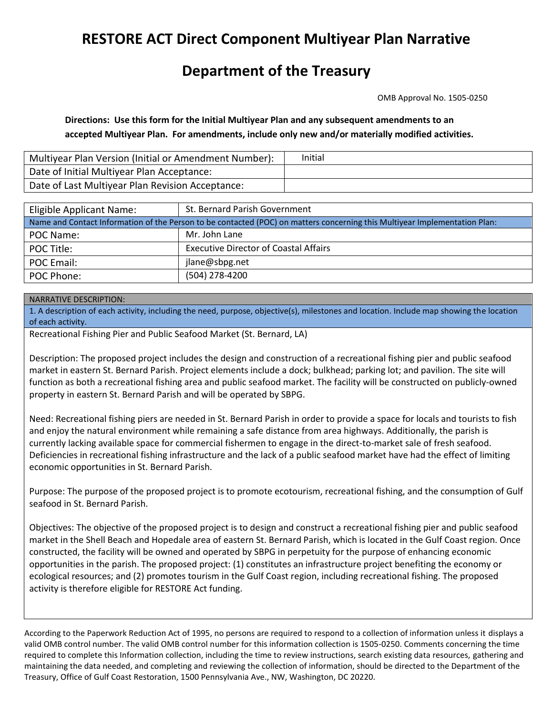# **RESTORE ACT Direct Component Multiyear Plan Narrative**

## **Department of the Treasury**

OMB Approval No. 1505-0250

 **Directions: Use this form for the Initial Multiyear Plan and any subsequent amendments to an accepted Multiyear Plan. For amendments, include only new and/or materially modified activities.** 

| Multiyear Plan Version (Initial or Amendment Number): | Initial |
|-------------------------------------------------------|---------|
| Date of Initial Multiyear Plan Acceptance:            |         |
| Date of Last Multiyear Plan Revision Acceptance:      |         |

| Eligible Applicant Name:                                                                                                   | St. Bernard Parish Government                |  |  |  |  |
|----------------------------------------------------------------------------------------------------------------------------|----------------------------------------------|--|--|--|--|
| Name and Contact Information of the Person to be contacted (POC) on matters concerning this Multiyear Implementation Plan: |                                              |  |  |  |  |
| POC Name:                                                                                                                  | Mr. John Lane                                |  |  |  |  |
| POC Title:                                                                                                                 | <b>Executive Director of Coastal Affairs</b> |  |  |  |  |
| POC Email:                                                                                                                 | jlane@sbpg.net                               |  |  |  |  |
| POC Phone:                                                                                                                 | (504) 278-4200                               |  |  |  |  |
|                                                                                                                            |                                              |  |  |  |  |
| NARRATIVE DESCRIPTION:                                                                                                     |                                              |  |  |  |  |

1. A description of each activity, including the need, purpose, objective(s), milestones and location. Include map showing the location of each activity.

Recreational Fishing Pier and Public Seafood Market (St. Bernard, LA)

Description: The proposed project includes the design and construction of a recreational fishing pier and public seafood market in eastern St. Bernard Parish. Project elements include a dock; bulkhead; parking lot; and pavilion. The site will function as both a recreational fishing area and public seafood market. The facility will be constructed on publicly-owned property in eastern St. Bernard Parish and will be operated by SBPG.

 economic opportunities in St. Bernard Parish. Need: Recreational fishing piers are needed in St. Bernard Parish in order to provide a space for locals and tourists to fish and enjoy the natural environment while remaining a safe distance from area highways. Additionally, the parish is currently lacking available space for commercial fishermen to engage in the direct-to-market sale of fresh seafood. Deficiencies in recreational fishing infrastructure and the lack of a public seafood market have had the effect of limiting

 seafood in St. Bernard Parish. Purpose: The purpose of the proposed project is to promote ecotourism, recreational fishing, and the consumption of Gulf

Objectives: The objective of the proposed project is to design and construct a recreational fishing pier and public seafood market in the Shell Beach and Hopedale area of eastern St. Bernard Parish, which is located in the Gulf Coast region. Once constructed, the facility will be owned and operated by SBPG in perpetuity for the purpose of enhancing economic opportunities in the parish. The proposed project: (1) constitutes an infrastructure project benefiting the economy or ecological resources; and (2) promotes tourism in the Gulf Coast region, including recreational fishing. The proposed activity is therefore eligible for RESTORE Act funding.

 According to the Paperwork Reduction Act of 1995, no persons are required to respond to a collection of information unless it displays a valid OMB control number. The valid OMB control number for this information collection is 1505-0250. Comments concerning the time required to complete this Information collection, including the time to review instructions, search existing data resources, gathering and maintaining the data needed, and completing and reviewing the collection of information, should be directed to the Department of the Treasury, Office of Gulf Coast Restoration, 1500 Pennsylvania Ave., NW, Washington, DC 20220.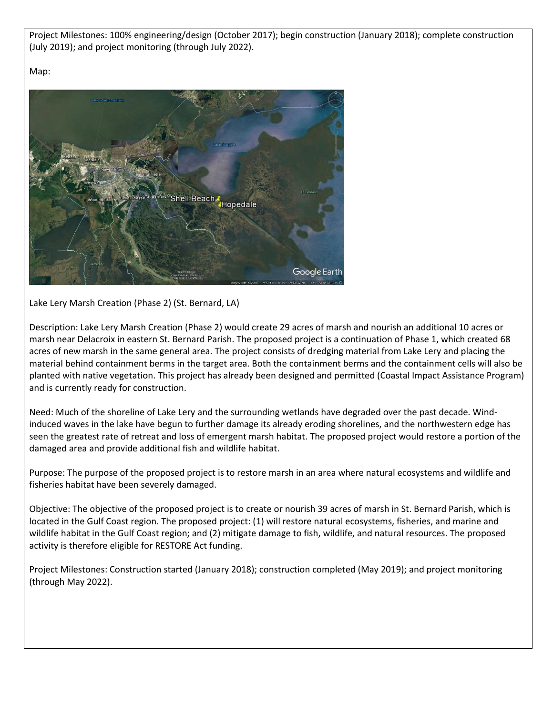Project Milestones: 100% engineering/design (October 2017); begin construction (January 2018); complete construction (July 2019); and project monitoring (through July 2022).

Map:



Lake Lery Marsh Creation (Phase 2) (St. Bernard, LA)

 Description: Lake Lery Marsh Creation (Phase 2) would create 29 acres of marsh and nourish an additional 10 acres or marsh near Delacroix in eastern St. Bernard Parish. The proposed project is a continuation of Phase 1, which created 68 acres of new marsh in the same general area. The project consists of dredging material from Lake Lery and placing the material behind containment berms in the target area. Both the containment berms and the containment cells will also be planted with native vegetation. This project has already been designed and permitted (Coastal Impact Assistance Program) and is currently ready for construction.

Need: Much of the shoreline of Lake Lery and the surrounding wetlands have degraded over the past decade. Windinduced waves in the lake have begun to further damage its already eroding shorelines, and the northwestern edge has seen the greatest rate of retreat and loss of emergent marsh habitat. The proposed project would restore a portion of the damaged area and provide additional fish and wildlife habitat.

fisheries habitat have been severely damaged. Purpose: The purpose of the proposed project is to restore marsh in an area where natural ecosystems and wildlife and

fisheries habitat have been severely damaged.<br>Objective: The objective of the proposed project is to create or nourish 39 acres of marsh in St. Bernard Parish, which is located in the Gulf Coast region. The proposed project: (1) will restore natural ecosystems, fisheries, and marine and wildlife habitat in the Gulf Coast region; and (2) mitigate damage to fish, wildlife, and natural resources. The proposed activity is therefore eligible for RESTORE Act funding.

Project Milestones: Construction started (January 2018); construction completed (May 2019); and project monitoring (through May 2022).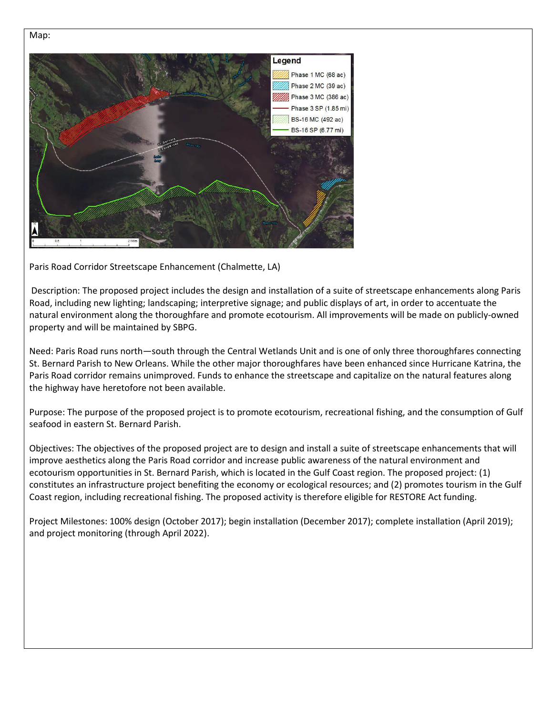

Paris Road Corridor Streetscape Enhancement (Chalmette, LA)

Description: The proposed project includes the design and installation of a suite of streetscape enhancements along Paris Road, including new lighting; landscaping; interpretive signage; and public displays of art, in order to accentuate the natural environment along the thoroughfare and promote ecotourism. All improvements will be made on publicly-owned property and will be maintained by SBPG.

 the highway have heretofore not been available. Need: Paris Road runs north—south through the Central Wetlands Unit and is one of only three thoroughfares connecting St. Bernard Parish to New Orleans. While the other major thoroughfares have been enhanced since Hurricane Katrina, the Paris Road corridor remains unimproved. Funds to enhance the streetscape and capitalize on the natural features along

Purpose: The purpose of the proposed project is to promote ecotourism, recreational fishing, and the consumption of Gulf seafood in eastern St. Bernard Parish.

Objectives: The objectives of the proposed project are to design and install a suite of streetscape enhancements that will improve aesthetics along the Paris Road corridor and increase public awareness of the natural environment and ecotourism opportunities in St. Bernard Parish, which is located in the Gulf Coast region. The proposed project: (1) constitutes an infrastructure project benefiting the economy or ecological resources; and (2) promotes tourism in the Gulf Coast region, including recreational fishing. The proposed activity is therefore eligible for RESTORE Act funding.

Project Milestones: 100% design (October 2017); begin installation (December 2017); complete installation (April 2019); and project monitoring (through April 2022).

### Map: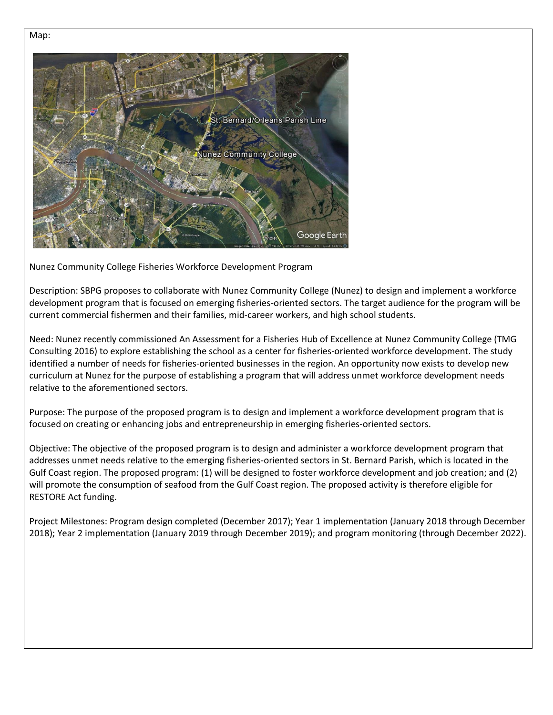

Nunez Community College Fisheries Workforce Development Program

Description: SBPG proposes to collaborate with Nunez Community College (Nunez) to design and implement a workforce development program that is focused on emerging fisheries-oriented sectors. The target audience for the program will be current commercial fishermen and their families, mid-career workers, and high school students.

Need: Nunez recently commissioned An Assessment for a Fisheries Hub of Excellence at Nunez Community College (TMG Consulting 2016) to explore establishing the school as a center for fisheries-oriented workforce development. The study identified a number of needs for fisheries-oriented businesses in the region. An opportunity now exists to develop new curriculum at Nunez for the purpose of establishing a program that will address unmet workforce development needs relative to the aforementioned sectors.

 focused on creating or enhancing jobs and entrepreneurship in emerging fisheries-oriented sectors. Purpose: The purpose of the proposed program is to design and implement a workforce development program that is

Objective: The objective of the proposed program is to design and administer a workforce development program that addresses unmet needs relative to the emerging fisheries-oriented sectors in St. Bernard Parish, which is located in the Gulf Coast region. The proposed program: (1) will be designed to foster workforce development and job creation; and (2) will promote the consumption of seafood from the Gulf Coast region. The proposed activity is therefore eligible for RESTORE Act funding.

 2018); Year 2 implementation (January 2019 through December 2019); and program monitoring (through December 2022). Project Milestones: Program design completed (December 2017); Year 1 implementation (January 2018 through December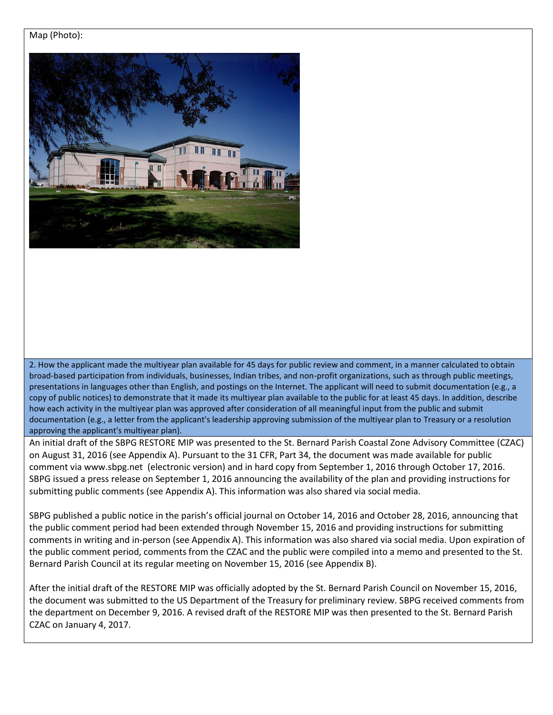### Map (Photo):



2. How the applicant made the multiyear plan available for 45 days for public review and comment, in a manner calculated to obtain broad-based participation from individuals, businesses, Indian tribes, and non-profit organizations, such as through public meetings, presentations in languages other than English, and postings on the Internet. The applicant will need to submit documentation (e.g., a copy of public notices) to demonstrate that it made its multiyear plan available to the public for at least 45 days. In addition, describe how each activity in the multiyear plan was approved after consideration of all meaningful input from the public and submit documentation (e.g., a letter from the applicant's leadership approving submission of the multiyear plan to Treasury or a resolution approving the applicant's multiyear plan).

 comment via [www.sbpg.net](http://www.sbpg.net/) (electronic version) and in hard copy from September 1, 2016 through October 17, 2016. submitting public comments (see Appendix A). This information was also shared via social media. An initial draft of the SBPG RESTORE MIP was presented to the St. Bernard Parish Coastal Zone Advisory Committee (CZAC) on August 31, 2016 (see Appendix A). Pursuant to the 31 CFR, Part 34, the document was made available for public SBPG issued a press release on September 1, 2016 announcing the availability of the plan and providing instructions for

SBPG published a public notice in the parish's official journal on October 14, 2016 and October 28, 2016, announcing that the public comment period had been extended through November 15, 2016 and providing instructions for submitting comments in writing and in-person (see Appendix A). This information was also shared via social media. Upon expiration of the public comment period, comments from the CZAC and the public were compiled into a memo and presented to the St. Bernard Parish Council at its regular meeting on November 15, 2016 (see Appendix B).

After the initial draft of the RESTORE MIP was officially adopted by the St. Bernard Parish Council on November 15, 2016, the document was submitted to the US Department of the Treasury for preliminary review. SBPG received comments from the department on December 9, 2016. A revised draft of the RESTORE MIP was then presented to the St. Bernard Parish CZAC on January 4, 2017.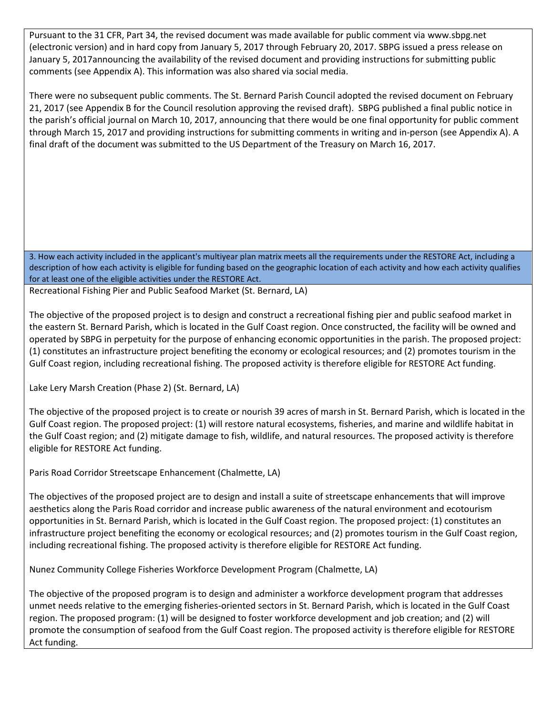Pursuant to the 31 CFR, Part 34, the revised document was made available for public comment via www.sbpg.net Pursuant to the 31 CFR, Part 34, the revised document was made available for public comment via www.sbpg.net<br>(electronic version) and in hard copy from January 5, 2017 through February 20, 2017. SBPG issued a press release January 5, 2017announcing the availability of the revised document and providing instructions for submitting public comments (see Appendix A). This information was also shared via social media.

 21, 2017 (see Appendix B for the Council resolution approving the revised draft). SBPG published a final public notice in There were no subsequent public comments. The St. Bernard Parish Council adopted the revised document on February the parish's official journal on March 10, 2017, announcing that there would be one final opportunity for public comment through March 15, 2017 and providing instructions for submitting comments in writing and in-person (see Appendix A). A final draft of the document was submitted to the US Department of the Treasury on March 16, 2017.

3. How each activity included in the applicant's multiyear plan matrix meets all the requirements under the RESTORE Act, including a description of how each activity is eligible for funding based on the geographic location of each activity and how each activity qualifies for at least one of the eligible activities under the RESTORE Act.

Recreational Fishing Pier and Public Seafood Market (St. Bernard, LA)

 Gulf Coast region, including recreational fishing. The proposed activity is therefore eligible for RESTORE Act funding. The objective of the proposed project is to design and construct a recreational fishing pier and public seafood market in the eastern St. Bernard Parish, which is located in the Gulf Coast region. Once constructed, the facility will be owned and operated by SBPG in perpetuity for the purpose of enhancing economic opportunities in the parish. The proposed project: (1) constitutes an infrastructure project benefiting the economy or ecological resources; and (2) promotes tourism in the

Lake Lery Marsh Creation (Phase 2) (St. Bernard, LA)

 Gulf Coast region. The proposed project: (1) will restore natural ecosystems, fisheries, and marine and wildlife habitat in The objective of the proposed project is to create or nourish 39 acres of marsh in St. Bernard Parish, which is located in the the Gulf Coast region; and (2) mitigate damage to fish, wildlife, and natural resources. The proposed activity is therefore eligible for RESTORE Act funding.

Paris Road Corridor Streetscape Enhancement (Chalmette, LA)

The objectives of the proposed project are to design and install a suite of streetscape enhancements that will improve aesthetics along the Paris Road corridor and increase public awareness of the natural environment and ecotourism opportunities in St. Bernard Parish, which is located in the Gulf Coast region. The proposed project: (1) constitutes an infrastructure project benefiting the economy or ecological resources; and (2) promotes tourism in the Gulf Coast region, including recreational fishing. The proposed activity is therefore eligible for RESTORE Act funding.

Nunez Community College Fisheries Workforce Development Program (Chalmette, LA)

The objective of the proposed program is to design and administer a workforce development program that addresses unmet needs relative to the emerging fisheries-oriented sectors in St. Bernard Parish, which is located in the Gulf Coast region. The proposed program: (1) will be designed to foster workforce development and job creation; and (2) will promote the consumption of seafood from the Gulf Coast region. The proposed activity is therefore eligible for RESTORE Act funding.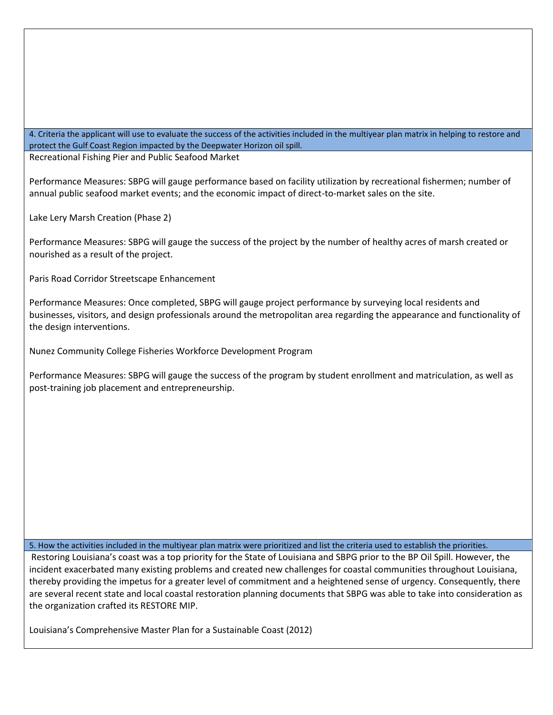4. Criteria the applicant will use to evaluate the success of the activities included in the multiyear plan matrix in helping to restore and protect the Gulf Coast Region impacted by the Deepwater Horizon oil spill.

Recreational Fishing Pier and Public Seafood Market

Performance Measures: SBPG will gauge performance based on facility utilization by recreational fishermen; number of annual public seafood market events; and the economic impact of direct-to-market sales on the site.

Lake Lery Marsh Creation (Phase 2)

Performance Measures: SBPG will gauge the success of the project by the number of healthy acres of marsh created or nourished as a result of the project.

Paris Road Corridor Streetscape Enhancement

 Performance Measures: Once completed, SBPG will gauge project performance by surveying local residents and businesses, visitors, and design professionals around the metropolitan area regarding the appearance and functionality of the design interventions.

Nunez Community College Fisheries Workforce Development Program

Performance Measures: SBPG will gauge the success of the program by student enrollment and matriculation, as well as post-training job placement and entrepreneurship.

5. How the activities included in the multiyear plan matrix were prioritized and list the criteria used to establish the priorities.

Restoring Louisiana's coast was a top priority for the State of Louisiana and SBPG prior to the BP Oil Spill. However, the incident exacerbated many existing problems and created new challenges for coastal communities throughout Louisiana, thereby providing the impetus for a greater level of commitment and a heightened sense of urgency. Consequently, there are several recent state and local coastal restoration planning documents that SBPG was able to take into consideration as the organization crafted its RESTORE MIP.

Louisiana's Comprehensive Master Plan for a Sustainable Coast (2012)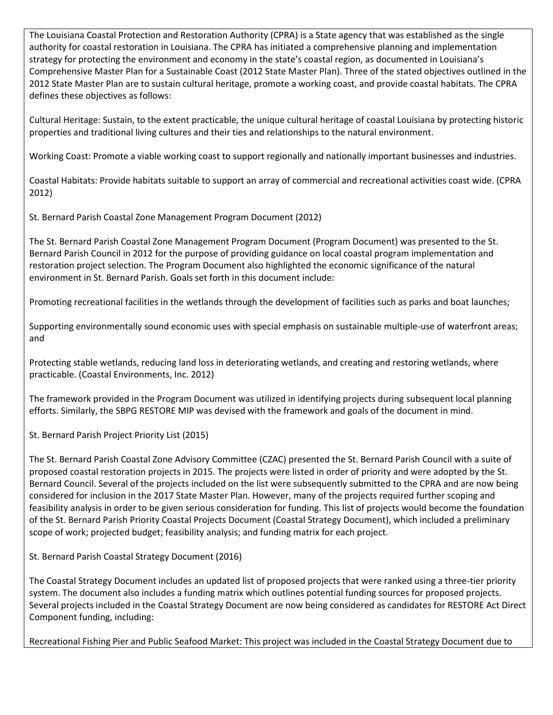The Louisiana Coastal Protection and Restoration Authority (CPRA) is a State agency that was established as the single authority for coastal restoration in Louisiana. The CPRA has initiated a comprehensive planning and implementation strategy for protecting the environment and economy in the state's coastal region, as documented in Louisiana's Comprehensive Master Plan for a Sustainable Coast (2012 State Master Plan). Three of the stated objectives outlined in the 2012 State Master Plan are to sustain cultural heritage, promote a working coast, and provide coastal habitats. The CPRA defines these objectives as follows:

Cultural Heritage: Sustain, to the extent practicable, the unique cultural heritage of coastal Louisiana by protecting historic properties and traditional living cultures and their ties and relationships to the natural environment.

Working Coast: Promote a viable working coast to support regionally and nationally important businesses and industries.

Coastal Habitats: Provide habitats suitable to support an array of commercial and recreational activities coast wide. (CPRA 2012)

St. Bernard Parish Coastal Zone Management Program Document (2012)

The St. Bernard Parish Coastal Zone Management Program Document (Program Document) was presented to the St. Bernard Parish Council in 2012 for the purpose of providing guidance on local coastal program implementation and restoration project selection. The Program Document also highlighted the economic significance of the natural environment in St. Bernard Parish. Goals set forth in this document include:

Promoting recreational facilities in the wetlands through the development of facilities such as parks and boat launches;

Supporting environmentally sound economic uses with special emphasis on sustainable multiple-use of waterfront areas; and

Protecting stable wetlands, reducing land loss in deteriorating wetlands, and creating and restoring wetlands, where practicable. (Coastal Environments, Inc. 2012)

 efforts. Similarly, the SBPG RESTORE MIP was devised with the framework and goals of the document in mind. The framework provided in the Program Document was utilized in identifying projects during subsequent local planning

St. Bernard Parish Project Priority List (2015)

 feasibility analysis in order to be given serious consideration for funding. This list of projects would become the foundation The St. Bernard Parish Coastal Zone Advisory Committee (CZAC) presented the St. Bernard Parish Council with a suite of proposed coastal restoration projects in 2015. The projects were listed in order of priority and were adopted by the St. Bernard Council. Several of the projects included on the list were subsequently submitted to the CPRA and are now being considered for inclusion in the 2017 State Master Plan. However, many of the projects required further scoping and of the St. Bernard Parish Priority Coastal Projects Document (Coastal Strategy Document), which included a preliminary scope of work; projected budget; feasibility analysis; and funding matrix for each project.

St. Bernard Parish Coastal Strategy Document (2016)

The Coastal Strategy Document includes an updated list of proposed projects that were ranked using a three-tier priority system. The document also includes a funding matrix which outlines potential funding sources for proposed projects. Several projects included in the Coastal Strategy Document are now being considered as candidates for RESTORE Act Direct Component funding, including:

Recreational Fishing Pier and Public Seafood Market: This project was included in the Coastal Strategy Document due to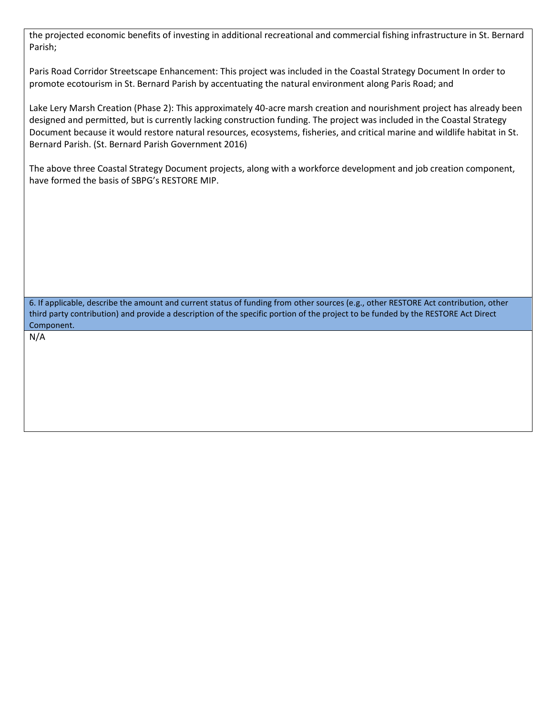the projected economic benefits of investing in additional recreational and commercial fishing infrastructure in St. Bernard Parish;

Paris Road Corridor Streetscape Enhancement: This project was included in the Coastal Strategy Document In order to promote ecotourism in St. Bernard Parish by accentuating the natural environment along Paris Road; and

Lake Lery Marsh Creation (Phase 2): This approximately 40-acre marsh creation and nourishment project has already been designed and permitted, but is currently lacking construction funding. The project was included in the Coastal Strategy Document because it would restore natural resources, ecosystems, fisheries, and critical marine and wildlife habitat in St. Bernard Parish. (St. Bernard Parish Government 2016)

 The above three Coastal Strategy Document projects, along with a workforce development and job creation component, have formed the basis of SBPG's RESTORE MIP.

6. If applicable, describe the amount and current status of funding from other sources (e.g., other RESTORE Act contribution, other third party contribution) and provide a description of the specific portion of the project to be funded by the RESTORE Act Direct Component.

N/A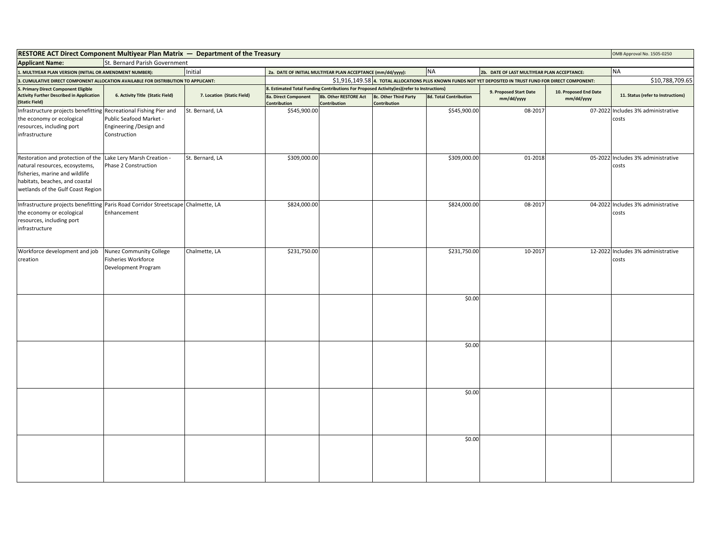| . MULTIYEAR PLAN VERSION (INITIAL OR AMENDMENT NUMBER):                                                                   | Initial                                                                                                                                                   |                                                                                                                                                                         |                                       |                                                              | <b>NA</b>                                                   |                                                                                                            |                                          | <b>NA</b>                                                                                                                                                 |
|---------------------------------------------------------------------------------------------------------------------------|-----------------------------------------------------------------------------------------------------------------------------------------------------------|-------------------------------------------------------------------------------------------------------------------------------------------------------------------------|---------------------------------------|--------------------------------------------------------------|-------------------------------------------------------------|------------------------------------------------------------------------------------------------------------|------------------------------------------|-----------------------------------------------------------------------------------------------------------------------------------------------------------|
|                                                                                                                           |                                                                                                                                                           |                                                                                                                                                                         |                                       |                                                              |                                                             |                                                                                                            |                                          | \$10,788,709.65                                                                                                                                           |
|                                                                                                                           | 7. Location (Static Field)                                                                                                                                |                                                                                                                                                                         |                                       |                                                              |                                                             | 9. Proposed Start Date<br>mm/dd/yyyy                                                                       | 10. Proposed End Date<br>mm/dd/yyyy      | 11. Status (refer to Instructions)                                                                                                                        |
|                                                                                                                           |                                                                                                                                                           | 8a. Direct Component<br><b>Contribution</b>                                                                                                                             | 8b. Other RESTORE Act<br>Contribution | 8c. Other Third Party<br>Contribution                        | 8d. Total Contribution                                      |                                                                                                            |                                          |                                                                                                                                                           |
| Public Seafood Market -<br>Engineering /Design and<br>Construction                                                        | St. Bernard, LA                                                                                                                                           |                                                                                                                                                                         |                                       |                                                              |                                                             |                                                                                                            |                                          | 07-2022 Includes 3% administrative<br>costs                                                                                                               |
| Restoration and protection of the Lake Lery Marsh Creation -<br>Phase 2 Construction<br>wetlands of the Gulf Coast Region | St. Bernard, LA                                                                                                                                           |                                                                                                                                                                         |                                       |                                                              | \$309,000.00                                                | 01-2018                                                                                                    |                                          | 05-2022 Includes 3% administrative<br>costs                                                                                                               |
| Enhancement                                                                                                               |                                                                                                                                                           |                                                                                                                                                                         |                                       |                                                              | \$824,000.00                                                | 08-2017                                                                                                    |                                          | 04-2022 Includes 3% administrative<br>costs                                                                                                               |
| Nunez Community College<br>Workforce development and job<br><b>Fisheries Workforce</b><br>Development Program             | Chalmette, LA                                                                                                                                             |                                                                                                                                                                         |                                       |                                                              | \$231,750.00                                                | 10-2017                                                                                                    |                                          | 12-2022 Includes 3% administrative<br>costs                                                                                                               |
|                                                                                                                           |                                                                                                                                                           |                                                                                                                                                                         |                                       |                                                              | \$0.00                                                      |                                                                                                            |                                          |                                                                                                                                                           |
|                                                                                                                           |                                                                                                                                                           |                                                                                                                                                                         |                                       |                                                              | \$0.00                                                      |                                                                                                            |                                          |                                                                                                                                                           |
|                                                                                                                           |                                                                                                                                                           |                                                                                                                                                                         |                                       |                                                              | \$0.00                                                      |                                                                                                            |                                          |                                                                                                                                                           |
|                                                                                                                           |                                                                                                                                                           |                                                                                                                                                                         |                                       |                                                              | \$0.00                                                      |                                                                                                            |                                          |                                                                                                                                                           |
|                                                                                                                           | <b>Activity Further Described in Application</b><br>6. Activity Title (Static Field)<br>Infrastructure projects benefitting Recreational Fishing Pier and | 3. CUMULATIVE DIRECT COMPONENT ALLOCATION AVAILABLE FOR DISTRIBUTION TO APPLICANT:<br>Infrastructure projects benefitting Paris Road Corridor Streetscape Chalmette, LA |                                       | \$545,900.00<br>\$309,000.00<br>\$824,000.00<br>\$231,750.00 | 2a. DATE OF INITIAL MULTIYEAR PLAN ACCEPTANCE (mm/dd/yyyy): | 8. Estimated Total Funding Contributions For Proposed Activity(ies)(refer to Instructions)<br>\$545,900.00 | St. Bernard Parish Government<br>08-2017 | 2b. DATE OF LAST MULTIYEAR PLAN ACCEPTANCE:<br>\$1,916,149.58 4. TOTAL ALLOCATIONS PLUS KNOWN FUNDS NOT YET DEPOSITED IN TRUST FUND FOR DIRECT COMPONENT: |